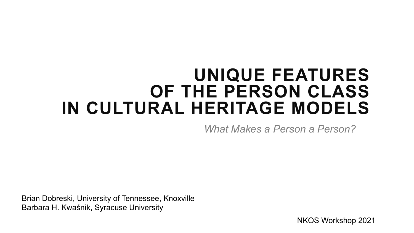### **UNIQUE FEATURES OF THE PERSON CLASS IN CULTURAL HERITAGE MODELS**

*What Makes a Person a Person?*

Brian Dobreski, University of Tennessee, Knoxville Barbara H. Kwaśnik, Syracuse University

NKOS Workshop 2021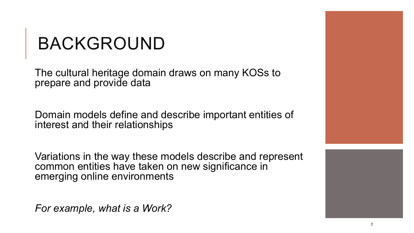### BACKGROUND

The cultural heritage domain draws on many KOSs to prepare and provide data

Domain models define and describe important entities of interest and their relationships

Variations in the way these models describe and represent common entities have taken on new significance in emerging online environments

*For example, what is a Work?*

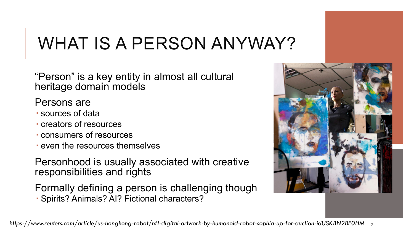## WHAT IS A PERSON ANYWAY?

"Person" is a key entity in almost all cultural heritage domain models

### Persons are

- sources of data
- creators of resources
- consumers of resources
- even the resources themselves

Personhood is usually associated with creative responsibilities and rights

Formally defining a person is challenging though Spirits? Animals? AI? Fictional characters?

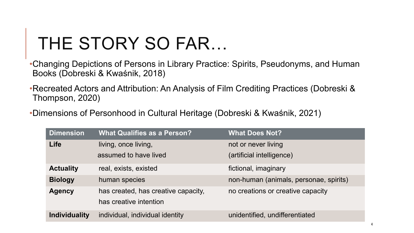# THE STORY SO FAR…

•Changing Depictions of Persons in Library Practice: Spirits, Pseudonyms, and Human Books (Dobreski & Kwaśnik, 2018)

•Recreated Actors and Attribution: An Analysis of Film Crediting Practices (Dobreski & Thompson, 2020)

•Dimensions of Personhood in Cultural Heritage (Dobreski & Kwaśnik, 2021)

| <b>Dimension</b>     | <b>What Qualifies as a Person?</b>                            | <b>What Does Not?</b>                  |
|----------------------|---------------------------------------------------------------|----------------------------------------|
| Life                 | living, once living,                                          | not or never living                    |
|                      | assumed to have lived                                         | (artificial intelligence)              |
| <b>Actuality</b>     | real, exists, existed                                         | fictional, imaginary                   |
| <b>Biology</b>       | human species                                                 | non-human (animals, personae, spirits) |
| <b>Agency</b>        | has created, has creative capacity,<br>has creative intention | no creations or creative capacity      |
| <b>Individuality</b> | individual, individual identity                               | unidentified, undifferentiated         |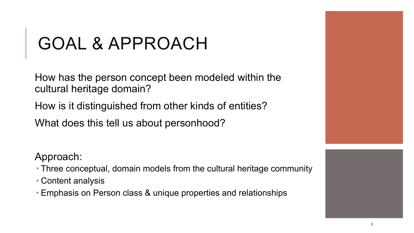## GOAL & APPROACH

How has the person concept been modeled within the cultural heritage domain?

How is it distinguished from other kinds of entities?

What does this tell us about personhood?

Approach:

- Three conceptual, domain models from the cultural heritage community
- Content analysis
- Emphasis on Person class & unique properties and relationships



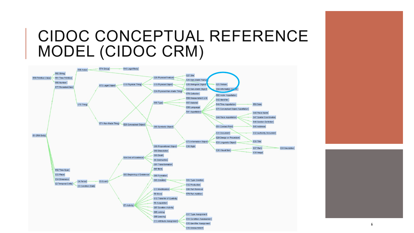### CIDOC CONCEPTUAL REFERENCE MODEL (CIDOC CRM)





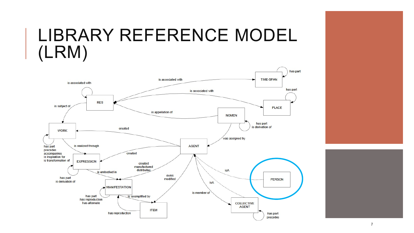### LIBRARY REFERENCE MODEL (LRM)





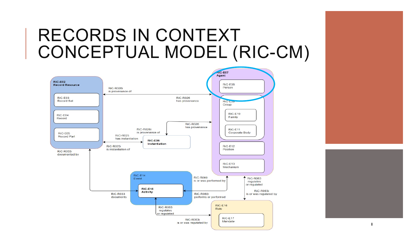### RECORDS IN CONTEXT CONCEPTUAL MODEL (RIC-CM)







8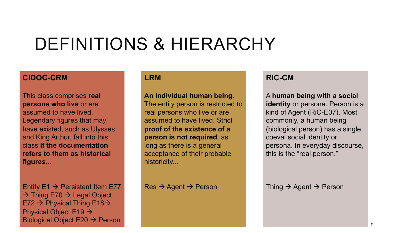### DEFINITIONS & HIERARCHY

#### **CIDOC-CRM**

This class comprises **real persons who live** or are assumed to have lived. Legendary figures that may have existed, such as Ulysses and King Arthur, fall into this class **if the documentation refers to them as historical figures**...

Entity  $E1 \rightarrow$  Persistent Item E77  $\rightarrow$  Thing E70  $\rightarrow$  Legal Object E72  $\rightarrow$  Physical Thing E18 $\rightarrow$ Physical Object E19  $\rightarrow$ Biological Object E20  $\rightarrow$  Person

#### **LRM**

**An individual human being**. The entity person is restricted to real persons who live or are assumed to have lived. Strict **proof of the existence of a person is not required**, as long as there is a general acceptance of their probable historicity...

 $Res \rightarrow Age$ nt  $\rightarrow$  Person

#### **RiC-CM**

A **human being with a social**  *identity* or persona. Person is a kind of Agent (RiC-E07). Most commonly, a human being (biological person) has a single coeval social identity or persona. In everyday discourse, this is the "real person."

Thing  $\rightarrow$  Agent  $\rightarrow$  Person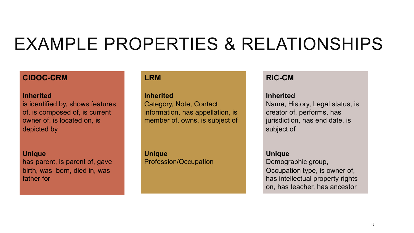### EXAMPLE PROPERTIES & RELATIONSHIPS

#### **CIDOC-CRM**

#### **Inherited**

is identified by, shows features of, is composed of, is current owner of, is located on, is depicted by

#### **Unique**

has parent, is parent of, gave birth, was born, died in, was father for

#### **LRM**

**Inherited** Category, Note, Contact information, has appellation, is member of, owns, is subject of

**Unique** Profession/Occupation

#### **RiC-CM**

#### **Inherited**

Name, History, Legal status, is creator of, performs, has jurisdiction, has end date, is subject of

#### **Unique**

Demographic group, Occupation type, is owner of, has intellectual property rights on, has teacher, has ancestor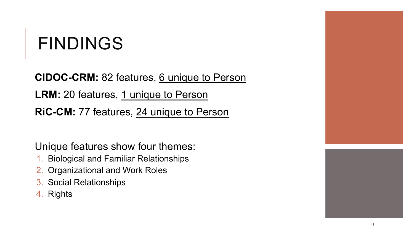## FINDINGS

**CIDOC-CRM:** 82 features, 6 unique to Person LRM: 20 features, 1 unique to Person **RiC-CM:** 77 features, 24 unique to Person

Unique features show four themes:

- 1. Biological and Familiar Relationships
- 2. Organizational and Work Roles
- 3. Social Relationships
- 4. Rights



11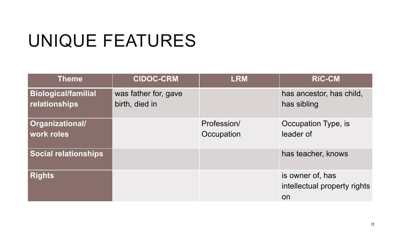# UNIQUE FEATURES

| <b>Theme</b>                                | <b>CIDOC-CRM</b>                       | <b>LRM</b>                | <b>RIC-CM</b>                                          |
|---------------------------------------------|----------------------------------------|---------------------------|--------------------------------------------------------|
| <b>Biological/familial</b><br>relationships | was father for, gave<br>birth, died in |                           | has ancestor, has child,<br>has sibling                |
| Organizational/<br><b>work roles</b>        |                                        | Profession/<br>Occupation | Occupation Type, is<br>leader of                       |
| <b>Social relationships</b>                 |                                        |                           | has teacher, knows                                     |
| <b>Rights</b>                               |                                        |                           | is owner of, has<br>intellectual property rights<br>on |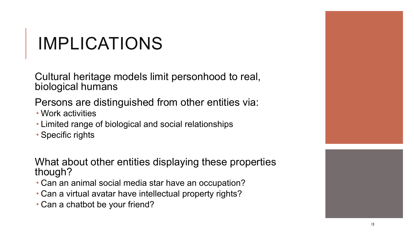# IMPLICATIONS

Cultural heritage models limit personhood to real, biological humans

### Persons are distinguished from other entities via:

- Work activities
- Limited range of biological and social relationships
- Specific rights

What about other entities displaying these properties though?

- Can an animal social media star have an occupation?
- Can a virtual avatar have intellectual property rights?
- Can a chatbot be your friend?



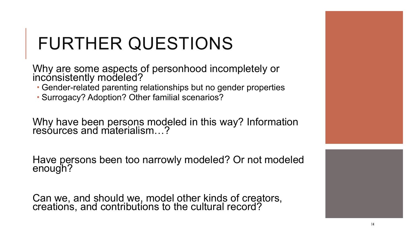# FURTHER QUESTIONS

Why are some aspects of personhood incompletely or inconsistently modeled?

- Gender-related parenting relationships but no gender properties
- Surrogacy? Adoption? Other familial scenarios?

Why have been persons modeled in this way? Information resóurces and materialism...?

Have persons been too narrowly modeled? Or not modeled enough?

Can we, and should we, model other kinds of creators, creations, and contributions to the cultural record?